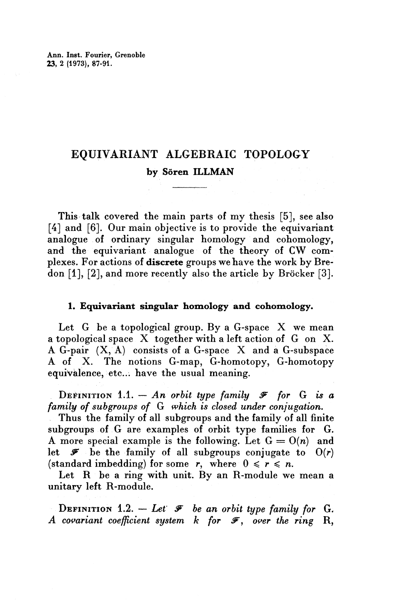Ann. Inst. Fourier, Grenoble **23,** 2 (1973), 87-91.

# **EQUIVARIANT ALGEBRAIC TOPOLOGY by Soren ILLMAN**

This talk covered the main parts of my thesis [5], see also [4] and [6]. Our main objective is to provide the equivariant analogue of ordinary singular homology and cohomology, and the equivariant analogue of the theory of CW complexes. For actions of **discrete** groups we have the work by Bredon [1], [2], and more recently also the article by Bröcker [3].

## **1. Equivariant singular homology and cohomology.**

Let G be a topological group. By a G-space X we mean a topological space X together with a left action of G on X. A G-pair (X, A) consists of a G-space X and a G-subspace A of X. The notions G-map, G-homotopy, G-homotopy equivalence, etc... have the usual meaning.

DEFINITION 1.1.  $- An$  *orbit type family*  $\mathcal F$  *for* G *is a family of subgroups of* G *which is closed under conjugation.*

Thus the family of all subgroups and the family of all finite subgroups of G are examples of orbit type families for G. A more special example is the following. Let  $G = O(n)$  and let  $\mathscr{F}$  be the family of all subgroups conjugate to  $O(r)$ (standard imbedding) for some r, where  $0 \le r \le n$ .

Let  $R$  be a ring with unit. By an R-module we mean a unitary left R-module.

DEFINITION 1.2.  $-$  *Let*  $\mathcal F$  *be an orbit type family for* G. A covariant coefficient system k for  $\mathcal{F}$ , over the ring R,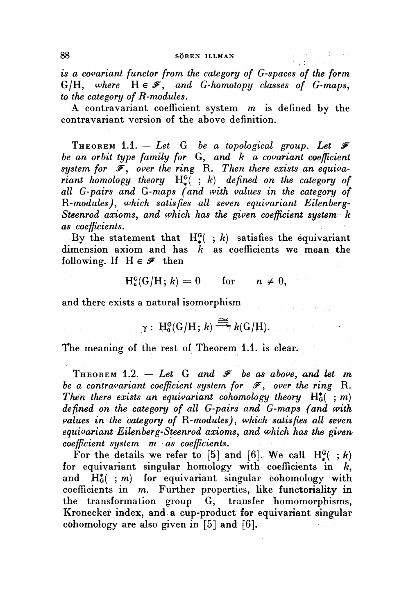#### 88 SÖREN ILLMAN

*is a covariant functor from the category of G-spaces of the form*  $G/H$ *, where*  $H \in \mathcal{F}$ *, and G-homotopy classes of G-maps*, *to the category of R-modules.*

A contravariant coefficient system *m* is defined by the contravariant version of the above definition.

**THEOREM** 1.1.  $-$  *Let* G *be a topological group. Let*  $\mathcal F$ *be an orbit type family for* **G,** *and k a covariant coefficient* system for  $\overline{\mathcal{F}}$ , over the ring R. Then there exists an equiva*riant homology theory* H^( ; *k) defined on the category of all G-pairs and G-maps (and with values in the category of ^{-modules), which satisfies all seven equivariant Eilenberg" Steenrod axioms, and which has the given coefficient system k as coefficients.*

By the statement that  $H^G_*$  ; *k*) satisfies the equivariant dimension axiom and has *k* as coefficients we mean the following. If  $H \in \mathscr{F}$  then

$$
H_n^G(G/H; k) = 0 \quad \text{for} \quad n \neq 0,
$$

and there exists a natural isomorphism

$$
\gamma: \ \mathrm{H}_{0}^{G}(G/H; k) \stackrel{\cong}{\longrightarrow} k(G/H).
$$

The meaning of the rest of Theorem 1.1. is clear.

THEOREM 1.2.  $-$  Let G and  $\mathcal F$  be as above, and let m *be a contravariant coefficient system for*  $\mathcal{F}$ , over the ring R. Then there exists an equivariant cohomology theory  $H_G^*$  ; *m*) *defined on the category of all G-pairs and G-maps (and with values in the category of I{-modules), which satisfies all seven equivariant Eilenberg-Steenrod axioms^ and which has the given coefficient system m as coefficients.*

For the details we refer to [5] and [6]. We call  $H^{\alpha}( ;k)$ for equivariant singular homology with coefficients in  $k$ , and  $H_G^*$  ; *m*) for equivariant singular cohomology with coefficients in m. Further properties, like functoriality in the transformation group G, transfer homomorphisms, Kronecker index, and a cup-product for equivariant singular cohomology are also given in [5] and [6].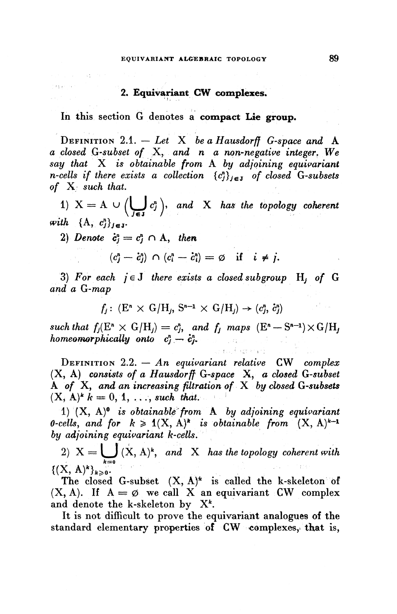#### **2. Equivariant CW complexes.**

In this section G denotes a **compact Lie group.**

DEFINITION 2.1. — *Let* X *beaHausdorff G-space and* A *a closed G-subset of* **X,** *and n a non-negative integer. We say that* X *is obtainable from* A *by adjoining equivariant n-cells if there exists a collection* {c;},^ *of closed G'subsets of* X *such that.* 1) Indityped and *A* is obtainable from *A* by adjoining equivariant cells if there exists a collection  $\{c_j^n\}_{j \in J}$  of closed G-subset<br>  $\{X_j \}$  such that.<br>
1)  $X = A \cup \left(\bigcup_{i \in J} c_j^n \right)$ , and *X* has the topology coheren

 $\frac{m!}{\sinh}$   $\int \mathbf{A} \cdot e^{n\lambda}$ 

 $\{A, C_j\}_{j \in J}$ .<br>2) Denote  $c^n = c^n \cap A$ , then

negar na

$$
c_j = c_j \cap A, \text{ then}
$$
  

$$
(c_j^n - c_j^n) \cap (c_i^n - c_i^n) = \emptyset \text{ if } i \neq j.
$$

3) For each  $j \in J$  there exists a closed subgroup  $H_j$  of G *and a G-map*

$$
f_j: (\mathbf{E}^n \times \mathbf{G}/\mathbf{H}_j, \mathbf{S}^{n-1} \times \mathbf{G}/\mathbf{H}_j) \rightarrow (c_j^n, \dot{c}_j^n)
$$

 $f_j: (\mathbb{E}^n \times \mathbb{G}/\mathbb{H}_j, \mathbb{S}^{n-1} \times \mathbb{G}/\mathbb{H}_j) \to (c_j^n, c_j^n)$ <br>such that  $f_j(\mathbb{E}^n \times \mathbb{G}/\mathbb{H}_j) = c_j^n$ , and  $f_j$  maps  $(\mathbb{E}^n - \mathbb{S}^{n-1}) \times \mathbb{G}/\mathbb{H}_j$  $homespanphically onto  $c^n - c$$ 

DEFINITION 2.2. — *An equwariant relative* CW *complex* (X, A) *consists of a Hausdorff G'space* X, *a closed G-subset* A of X and an increasing filtration of X by closed G-subsets<br>A of X and an increasing filtration of X by closed G-subset A of X, and an increasing fill<br>(X, A)<sup>k</sup> k = 0, 1, such that...

1) (X, A)<sup>0</sup> is obtainable from A by adjoining equivariant *O-cells, and for*  $k \ge 1(X, A)^*$  is obtainable from  $(X, A)^{k-1}$ *by adjoining equivariant k-cells.*

2)  $X = \bigcup_{k=0}^{\infty} (X, A)^k$ , and X has the topology coherent with  $\{(X, A)^k\}_{k\geqslant 0}.$ 

 $\Gamma$ <sup>(11, 11)</sup>  $\frac{1}{2}$   $\frac{1}{2}$  . The closed G-subset  $(A, A)^T$  is called the K-skeleton  $(X, A)$ . If  $A = \emptyset$  we call X an equivariant CW complex and denote the k-skeleton by X<sup>k</sup>.

It is not difficult to prove the equivariant analogues of the standard elementary properties of CW complexes, that is,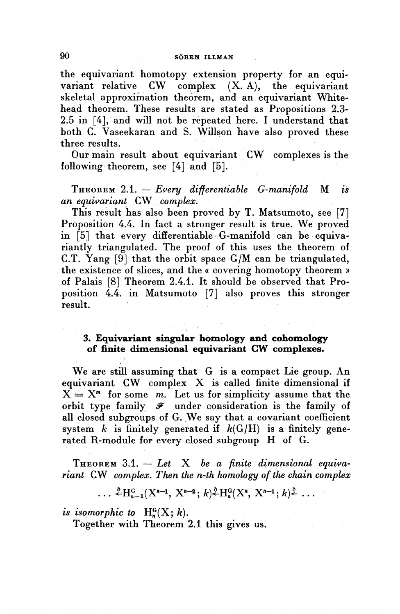#### **90** SÖREN ILLMAN

the equivariant homotopy extension property for an equivariant relative CW complex  $(X, A)$ , the equivariant  $CW$  complex  $(X, A)$ , the equivariant skeletal approximation theorem, and an equivariant Whitehead theorem. These results are stated as Propositions 2.3- 2.5 in [4], and will not be repeated here. I understand that both C. Vaseekaran and S. Willson have also proved these three results.

Our main result about equivariant CW complexes is the following theorem, see [4] and [5].

THEOREM 2.1. — *Every differentiable G-manifold* M *is an equivariant CW complex.*

This result has also been proved by T. Matsumoto, see [7] Proposition 4.4. In fact a stronger result is true. We proved in [5] that every differentiable G-manifold can be equivariantly triangulated. The proof of this uses the theorem of C.T. Yang [9] that the orbit space G/M can be triangulated, the existence of slices, and the « covering homotopy theorem » of Palais [8] Theorem 2.4.1. It should be observed that Proposition 4.4. in Matsumoto [7] also proves this stronger result.

### **3. Equivariant singular homology and cohomology of finite dimensional equivariant CW complexes.**

We are still assuming that G is a compact Lie group. An equivariant CW complex X is called finite dimensional if  $X = X<sup>m</sup>$  for some  $m$ . Let us for simplicity assume that the orbit type family *y* under consideration is the family of all closed subgroups of G. We say that a covariant coefficient system  $k$  is finitely generated if  $k(G/H)$  is a finitely generated R-module for every closed subgroup H of G.

THEOREM 3.1. — *Let* X *be a finite dimensional equivariant* **CW** *complex. Then the n-th homology of the chain complex*

$$
\ldots \stackrel{\delta}{\leftarrow} H_{n-1}^G(X^{n-1}, X^{n-2}; k) \stackrel{\delta}{\leftarrow} H_n^G(X^n, X^{n-1}; k) \stackrel{\delta}{\leftarrow} \ldots
$$

*is isomorphic to*  $H_n^G(X; k)$ .

Together with Theorem 2.1 this gives us.